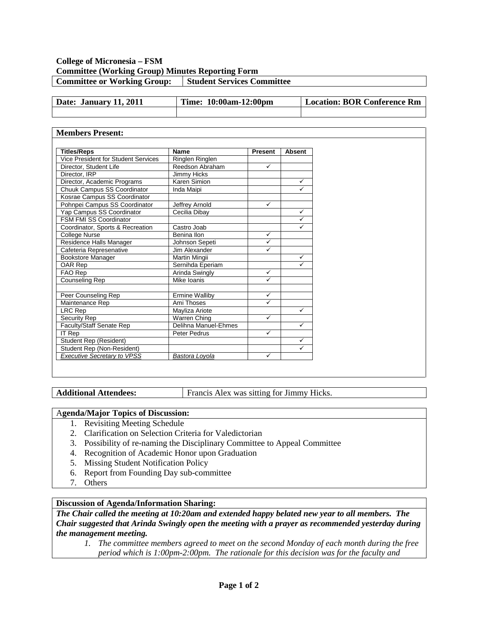## **College of Micronesia – FSM Committee (Working Group) Minutes Reporting Form Committee or Working Group:** Student Services Committee

| Date: January 11, 2011 | Time: 10:00am-12:00pm | <b>Location: BOR Conference Rm</b> |
|------------------------|-----------------------|------------------------------------|
|                        |                       |                                    |

#### **Members Present: Titles/Reps Name Present Absent**<br>Vice President for Student Services Ringlen Ringlen Vice President for Student Services<br>
Director, Student Life Reedson Abraham Director, Student Life Reedson Abraham V Director, IRP Jimmy Hicks Director, Academic Programs Karen Simion<br>
Chuuk Campus SS Coordinator Inda Maini Chuuk Campus SS Coordinator | Inda Maipi Kosrae Campus SS Coordinator Pohnpei Campus SS Coordinator Jeffrey Arnold<br>
Yap Campus SS Coordinator Cecilia Dibay Yap Campus SS Coordinator Cecilia Dibay FSM FMI SS Coordinator<br>
Coordinator, Sports & Recreation | Castro Joab | V Coordinator, Sports & Recreation College Nurse Benina Ilon V<br>Residence Halls Manager Benina Ilohnson Seneti Residence Halls Manager Johnson Sepeti V<br>Cafeteria Represenative Jim Alexander Cafeteria Represenative Jim Alexander Bookstore Manager Martin Mingii Martin Mingii Number of Number of America Contract Art and Martin Mingii OAR Rep Sernihda Eperiam → Sernihda Eperiam → Sernihda Eperiam → Sernihda Eperiam → Serniholda Eperiam → Serni<br>
FAO Rep → Serniholda Swingly → Series → Series → Series → Series → Series → Series → Series → Series → Series Arinda Swingly  $\sqrt{}$ Counseling Rep Mike Ioanis ● Mike Ioanis Peer Counseling Rep **Ermine Walliby**  $M$ aintenance Rep  $\blacksquare$  Ami Thoses  $\blacksquare$ LRC Rep Mayliza Ariote Names Number of Mayliza Ariote Number 2012<br>
Security Rep Warren Ching √ Security Rep Warren Ching<br>
Faculty/Staff Senate Rep Delihna Manu Delihna Manuel-Ehmes  $I$ T Rep  $\sqrt{ }$  Peter Pedrus  $\sqrt{ }$ Student Rep (Resident)<br>Student Rep (Non-Resident) Student Rep (Non-Resident) *Executive Secretary to VPSS Bastora Loyola*

**Additional Attendees:** Francis Alex was sitting for Jimmy Hicks.

### A**genda/Major Topics of Discussion:**

- 1. Revisiting Meeting Schedule
- 2. Clarification on Selection Criteria for Valedictorian
- 3. Possibility of re-naming the Disciplinary Committee to Appeal Committee
- 4. Recognition of Academic Honor upon Graduation
- 5. Missing Student Notification Policy
- 6. Report from Founding Day sub-committee
- 7. Others

## **Discussion of Agenda/Information Sharing:**

*The Chair called the meeting at 10:20am and extended happy belated new year to all members. The Chair suggested that Arinda Swingly open the meeting with a prayer as recommended yesterday during the management meeting.*

*1. The committee members agreed to meet on the second Monday of each month during the free period which is 1:00pm-2:00pm. The rationale for this decision was for the faculty and*